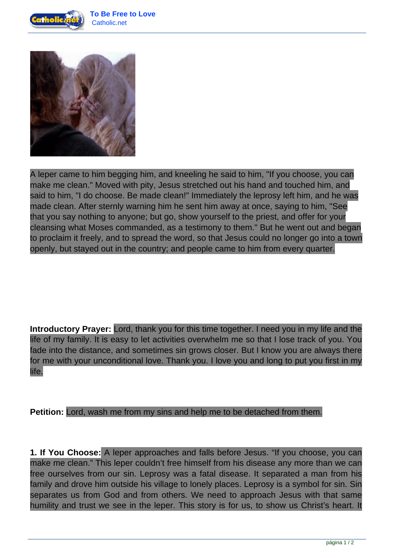



A leper came to him begging him, and kneeling he said to him, "If you choose, you can make me clean." Moved with pity, Jesus stretched out his hand and touched him, and said to him, "I do choose. Be made clean!" Immediately the leprosy left him, and he was made clean. After sternly warning him he sent him away at once, saying to him, "See that you say nothing to anyone; but go, show yourself to the priest, and offer for your cleansing what Moses commanded, as a testimony to them." But he went out and began to proclaim it freely, and to spread the word, so that Jesus could no longer go into a town openly, but stayed out in the country; and people came to him from every quarter.

**Introductory Prayer:** Lord, thank you for this time together. I need you in my life and the life of my family. It is easy to let activities overwhelm me so that I lose track of you. You fade into the distance, and sometimes sin grows closer. But I know you are always there for me with your unconditional love. Thank you. I love you and long to put you first in my life.

**Petition:** Lord, wash me from my sins and help me to be detached from them.

**1. If You Choose:** A leper approaches and falls before Jesus. "If you choose, you can make me clean." This leper couldn't free himself from his disease any more than we can free ourselves from our sin. Leprosy was a fatal disease. It separated a man from his family and drove him outside his village to lonely places. Leprosy is a symbol for sin. Sin separates us from God and from others. We need to approach Jesus with that same humility and trust we see in the leper. This story is for us, to show us Christ's heart. It